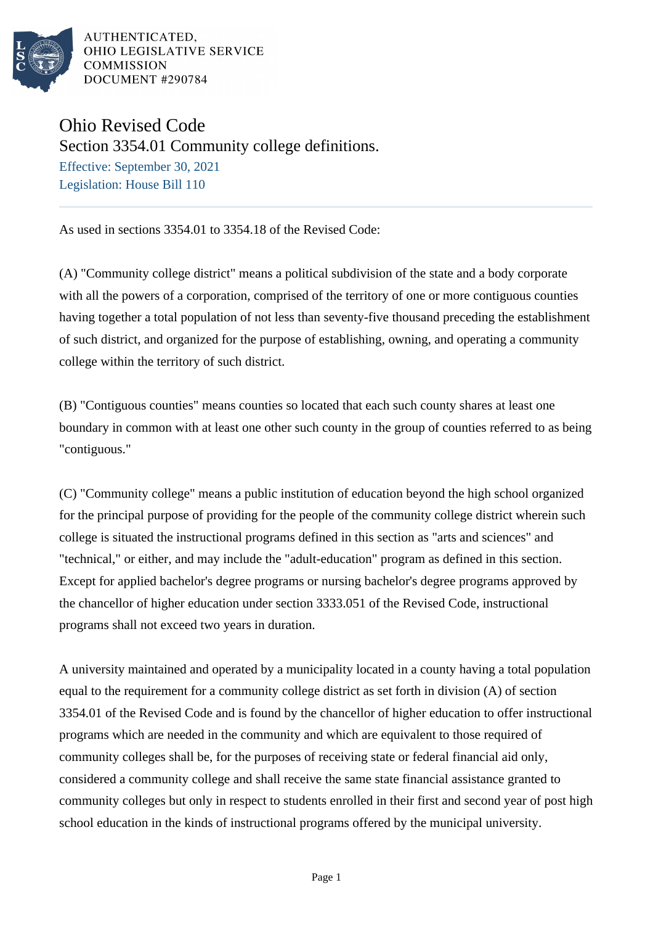

AUTHENTICATED. OHIO LEGISLATIVE SERVICE **COMMISSION** DOCUMENT #290784

## Ohio Revised Code

Section 3354.01 Community college definitions.

Effective: September 30, 2021 Legislation: House Bill 110

As used in sections 3354.01 to 3354.18 of the Revised Code:

(A) "Community college district" means a political subdivision of the state and a body corporate with all the powers of a corporation, comprised of the territory of one or more contiguous counties having together a total population of not less than seventy-five thousand preceding the establishment of such district, and organized for the purpose of establishing, owning, and operating a community college within the territory of such district.

(B) "Contiguous counties" means counties so located that each such county shares at least one boundary in common with at least one other such county in the group of counties referred to as being "contiguous."

(C) "Community college" means a public institution of education beyond the high school organized for the principal purpose of providing for the people of the community college district wherein such college is situated the instructional programs defined in this section as "arts and sciences" and "technical," or either, and may include the "adult-education" program as defined in this section. Except for applied bachelor's degree programs or nursing bachelor's degree programs approved by the chancellor of higher education under section 3333.051 of the Revised Code, instructional programs shall not exceed two years in duration.

A university maintained and operated by a municipality located in a county having a total population equal to the requirement for a community college district as set forth in division (A) of section 3354.01 of the Revised Code and is found by the chancellor of higher education to offer instructional programs which are needed in the community and which are equivalent to those required of community colleges shall be, for the purposes of receiving state or federal financial aid only, considered a community college and shall receive the same state financial assistance granted to community colleges but only in respect to students enrolled in their first and second year of post high school education in the kinds of instructional programs offered by the municipal university.